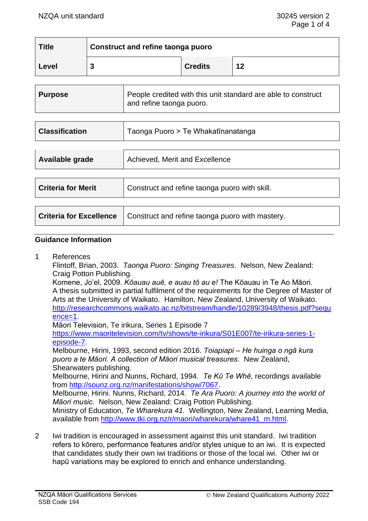| <b>Title</b> | Construct and refine taonga puoro |                |    |
|--------------|-----------------------------------|----------------|----|
| Level        | -                                 | <b>Credits</b> | 12 |

| <b>Purpose</b> | People credited with this unit standard are able to construct<br>and refine taonga puoro. |
|----------------|-------------------------------------------------------------------------------------------|
|                |                                                                                           |

| <b>Classification</b>     | Taonga Puoro > Te Whakatīnanatanga            |  |
|---------------------------|-----------------------------------------------|--|
|                           |                                               |  |
| Available grade           | Achieved, Merit and Excellence                |  |
|                           |                                               |  |
| <b>Criteria for Merit</b> | Construct and refine taonga puoro with skill. |  |

| Criteria for Excellence   Construct and refine taonga puoro with mastery. |
|---------------------------------------------------------------------------|

### **Guidance Information**

1 References

Flintoff, Brian, 2003. *Taonga Puoro: Singing Treasures*. Nelson, New Zealand: Craig Potton Publishing.

Komene, Jo'el, 2009. *Kōauau auē, e auau tō au e!* The Kōauau in Te Ao Māori. A thesis submitted in partial fulfilment of the requirements for the Degree of Master of Arts at the University of Waikato. Hamilton, New Zealand, University of Waikato. [http://researchcommons.waikato.ac.nz/bitstream/handle/10289/3948/thesis.pdf?sequ](http://researchcommons.waikato.ac.nz/bitstream/handle/10289/3948/thesis.pdf?sequence=1) [ence=1.](http://researchcommons.waikato.ac.nz/bitstream/handle/10289/3948/thesis.pdf?sequence=1)

Māori Television, Te irikura, Series 1 Episode 7 [https://www.maoritelevision.com/tv/shows/te-irikura/S01E007/te-irikura-series-1](https://www.maoritelevision.com/tv/shows/te-irikura/S01E007/te-irikura-series-1-episode-7) [episode-7.](https://www.maoritelevision.com/tv/shows/te-irikura/S01E007/te-irikura-series-1-episode-7) Melbourne, Hirini, 1993, second edition 2016. *Toiapiapi – He huinga o ngā kura puoro a te Māori. A collection of Māori musical treasures*. New Zealand, Shearwaters publishing. Melbourne, Hirini and Nunns, Richard, 1994. *Te Kū Te Whē*, recordings available from [http://sounz.org.nz/manifestations/show/7067.](http://sounz.org.nz/manifestations/show/7067) Melbourne, Hirini. Nunns, Richard, 2014. *Te Ara Puoro: A journey into the world of Māori music*. Nelson, New Zealand: Craig Potton Publishing.

Ministry of Education, *Te Wharekura 41.* Wellington, New Zealand, Learning Media, available from [http://www.tki.org.nz/r/maori/wharekura/whare41\\_m.html.](http://www.tki.org.nz/r/maori/wharekura/whare41_m.html)

2 Iwi tradition is encouraged in assessment against this unit standard. Iwi tradition refers to kōrero, performance features and/or styles unique to an iwi. It is expected that candidates study their own iwi traditions or those of the local iwi. Other iwi or hapū variations may be explored to enrich and enhance understanding.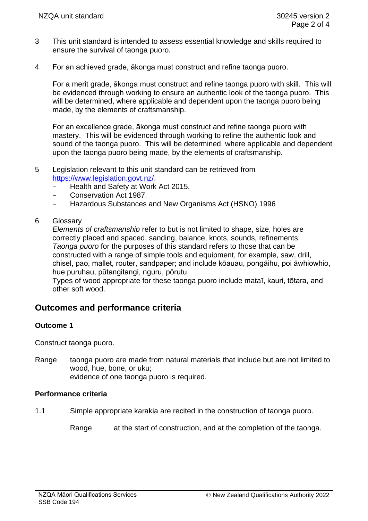- 3 This unit standard is intended to assess essential knowledge and skills required to ensure the survival of taonga puoro.
- 4 For an achieved grade, ākonga must construct and refine taonga puoro.

For a merit grade, ākonga must construct and refine taonga puoro with skill. This will be evidenced through working to ensure an authentic look of the taonga puoro. This will be determined, where applicable and dependent upon the taonga puoro being made, by the elements of craftsmanship.

For an excellence grade, ākonga must construct and refine taonga puoro with mastery. This will be evidenced through working to refine the authentic look and sound of the taonga puoro. This will be determined, where applicable and dependent upon the taonga puoro being made, by the elements of craftsmanship.

- 5 Legislation relevant to this unit standard can be retrieved from [https://www.legislation.govt.nz/.](https://www.legislation.govt.nz/)
	- Health and Safety at Work Act 2015.
	- Conservation Act 1987.
	- Hazardous Substances and New Organisms Act (HSNO) 1996
- 6 Glossary

*Elements of craftsmanship* refer to but is not limited to shape, size, holes are correctly placed and spaced, sanding, balance, knots, sounds*,* refinements; *Taonga puoro* for the purposes of this standard refers to those that can be constructed with a range of simple tools and equipment, for example, saw, drill, chisel, pao, mallet, router, sandpaper; and include kōauau, pongāihu, poi āwhiowhio, hue puruhau, pūtangitangi, nguru, pōrutu.

Types of wood appropriate for these taonga puoro include mataī, kauri, tōtara, and other soft wood.

# **Outcomes and performance criteria**

### **Outcome 1**

Construct taonga puoro.

Range taonga puoro are made from natural materials that include but are not limited to wood, hue, bone, or uku; evidence of one taonga puoro is required.

#### **Performance criteria**

1.1 Simple appropriate karakia are recited in the construction of taonga puoro.

Range at the start of construction, and at the completion of the taonga.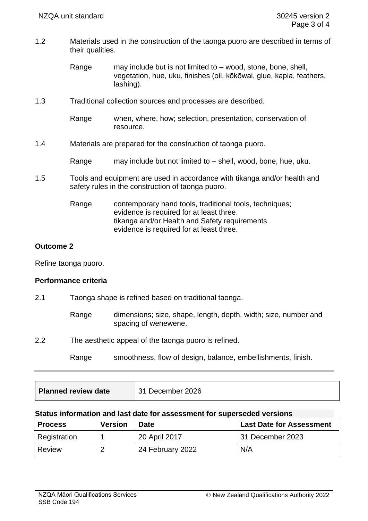- 1.2 Materials used in the construction of the taonga puoro are described in terms of their qualities.
	- Range may include but is not limited to wood, stone, bone, shell, vegetation, hue, uku, finishes (oil, kōkōwai, glue, kapia, feathers, lashing).
- 1.3 Traditional collection sources and processes are described.
	- Range when, where, how; selection, presentation, conservation of resource.
- 1.4 Materials are prepared for the construction of taonga puoro.
	- Range may include but not limited to shell, wood, bone, hue, uku.
- 1.5 Tools and equipment are used in accordance with tikanga and/or health and safety rules in the construction of taonga puoro.
	- Range contemporary hand tools, traditional tools, techniques; evidence is required for at least three. tikanga and/or Health and Safety requirements evidence is required for at least three.

# **Outcome 2**

Refine taonga puoro.

## **Performance criteria**

2.1 Taonga shape is refined based on traditional taonga.

Range dimensions; size, shape, length, depth, width; size, number and spacing of wenewene.

- 2.2 The aesthetic appeal of the taonga puoro is refined.
	- Range smoothness, flow of design, balance, embellishments, finish.

| Planned review date | 31 December 2026 |
|---------------------|------------------|
|---------------------|------------------|

#### **Status information and last date for assessment for superseded versions**

| <b>Process</b> | <b>Version</b> | <b>Date</b>      | <b>Last Date for Assessment</b> |
|----------------|----------------|------------------|---------------------------------|
| Registration   |                | 20 April 2017    | 31 December 2023                |
| Review         | റ              | 24 February 2022 | N/A                             |